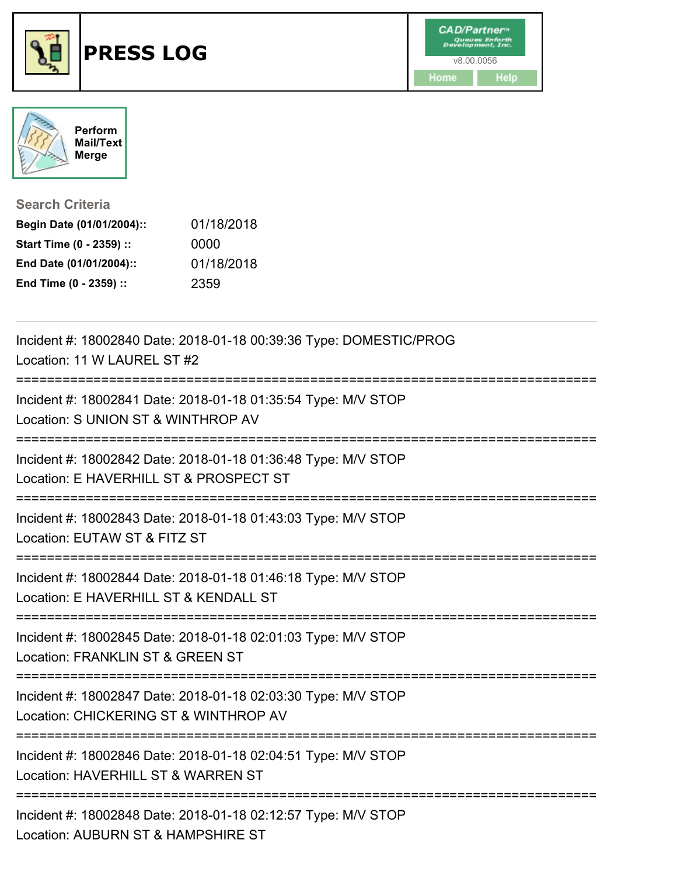



## **Search Criteria**

| Begin Date (01/01/2004):: | 01/18/2018 |
|---------------------------|------------|
| Start Time (0 - 2359) ::  | 0000       |
| End Date (01/01/2004)::   | 01/18/2018 |
| End Time (0 - 2359) ::    | 2359       |

| Incident #: 18002840 Date: 2018-01-18 00:39:36 Type: DOMESTIC/PROG<br>Location: 11 W LAUREL ST #2                                    |
|--------------------------------------------------------------------------------------------------------------------------------------|
| Incident #: 18002841 Date: 2018-01-18 01:35:54 Type: M/V STOP<br>Location: S UNION ST & WINTHROP AV                                  |
| Incident #: 18002842 Date: 2018-01-18 01:36:48 Type: M/V STOP<br>Location: E HAVERHILL ST & PROSPECT ST                              |
| Incident #: 18002843 Date: 2018-01-18 01:43:03 Type: M/V STOP<br>Location: EUTAW ST & FITZ ST                                        |
| Incident #: 18002844 Date: 2018-01-18 01:46:18 Type: M/V STOP<br>Location: E HAVERHILL ST & KENDALL ST                               |
| Incident #: 18002845 Date: 2018-01-18 02:01:03 Type: M/V STOP<br>Location: FRANKLIN ST & GREEN ST                                    |
| Incident #: 18002847 Date: 2018-01-18 02:03:30 Type: M/V STOP<br>Location: CHICKERING ST & WINTHROP AV<br>========================== |
| Incident #: 18002846 Date: 2018-01-18 02:04:51 Type: M/V STOP<br>Location: HAVERHILL ST & WARREN ST<br>----------------------------- |
| Incident #: 18002848 Date: 2018-01-18 02:12:57 Type: M/V STOP<br>Location: AUBURN ST & HAMPSHIRE ST                                  |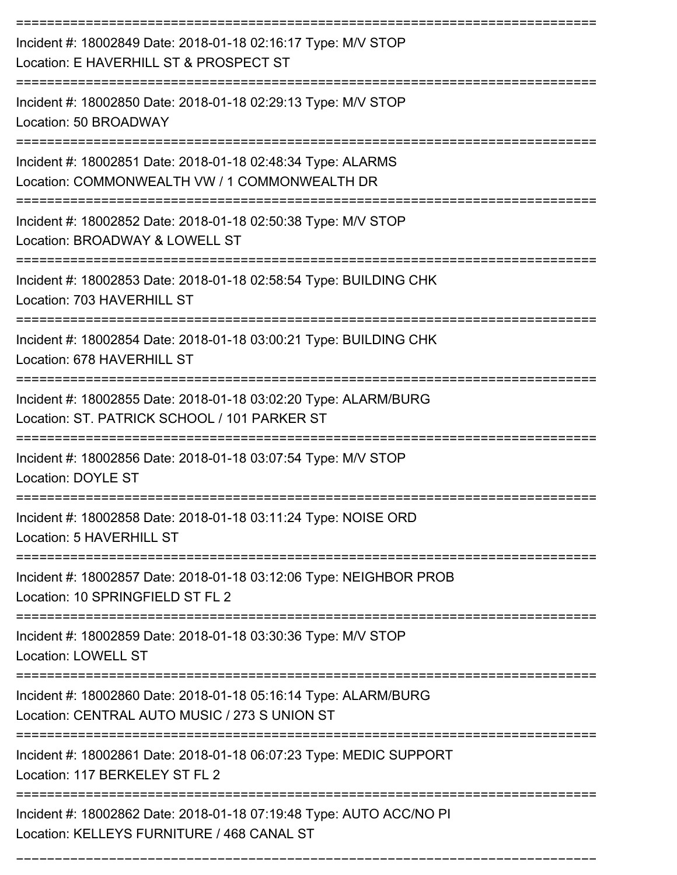| Incident #: 18002849 Date: 2018-01-18 02:16:17 Type: M/V STOP<br>Location: E HAVERHILL ST & PROSPECT ST                                          |
|--------------------------------------------------------------------------------------------------------------------------------------------------|
| Incident #: 18002850 Date: 2018-01-18 02:29:13 Type: M/V STOP<br>Location: 50 BROADWAY                                                           |
| Incident #: 18002851 Date: 2018-01-18 02:48:34 Type: ALARMS<br>Location: COMMONWEALTH VW / 1 COMMONWEALTH DR                                     |
| Incident #: 18002852 Date: 2018-01-18 02:50:38 Type: M/V STOP<br>Location: BROADWAY & LOWELL ST                                                  |
| Incident #: 18002853 Date: 2018-01-18 02:58:54 Type: BUILDING CHK<br>Location: 703 HAVERHILL ST                                                  |
| Incident #: 18002854 Date: 2018-01-18 03:00:21 Type: BUILDING CHK<br>Location: 678 HAVERHILL ST                                                  |
| Incident #: 18002855 Date: 2018-01-18 03:02:20 Type: ALARM/BURG<br>Location: ST. PATRICK SCHOOL / 101 PARKER ST                                  |
| Incident #: 18002856 Date: 2018-01-18 03:07:54 Type: M/V STOP<br><b>Location: DOYLE ST</b>                                                       |
| Incident #: 18002858 Date: 2018-01-18 03:11:24 Type: NOISE ORD<br>Location: 5 HAVERHILL ST                                                       |
| Incident #: 18002857 Date: 2018-01-18 03:12:06 Type: NEIGHBOR PROB<br>Location: 10 SPRINGFIELD ST FL 2                                           |
| Incident #: 18002859 Date: 2018-01-18 03:30:36 Type: M/V STOP<br><b>Location: LOWELL ST</b>                                                      |
| ============================<br>Incident #: 18002860 Date: 2018-01-18 05:16:14 Type: ALARM/BURG<br>Location: CENTRAL AUTO MUSIC / 273 S UNION ST |
| Incident #: 18002861 Date: 2018-01-18 06:07:23 Type: MEDIC SUPPORT<br>Location: 117 BERKELEY ST FL 2                                             |
| Incident #: 18002862 Date: 2018-01-18 07:19:48 Type: AUTO ACC/NO PI<br>Location: KELLEYS FURNITURE / 468 CANAL ST                                |

===========================================================================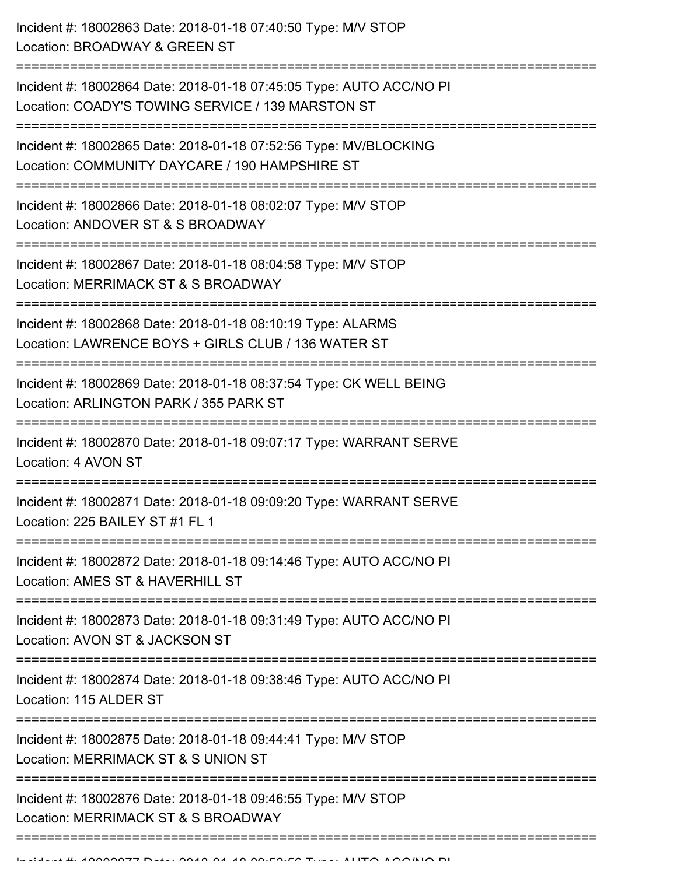| Incident #: 18002863 Date: 2018-01-18 07:40:50 Type: M/V STOP<br>Location: BROADWAY & GREEN ST                                                   |
|--------------------------------------------------------------------------------------------------------------------------------------------------|
| --------------------<br>Incident #: 18002864 Date: 2018-01-18 07:45:05 Type: AUTO ACC/NO PI<br>Location: COADY'S TOWING SERVICE / 139 MARSTON ST |
| Incident #: 18002865 Date: 2018-01-18 07:52:56 Type: MV/BLOCKING<br>Location: COMMUNITY DAYCARE / 190 HAMPSHIRE ST                               |
| Incident #: 18002866 Date: 2018-01-18 08:02:07 Type: M/V STOP<br>Location: ANDOVER ST & S BROADWAY                                               |
| Incident #: 18002867 Date: 2018-01-18 08:04:58 Type: M/V STOP<br>Location: MERRIMACK ST & S BROADWAY                                             |
| Incident #: 18002868 Date: 2018-01-18 08:10:19 Type: ALARMS<br>Location: LAWRENCE BOYS + GIRLS CLUB / 136 WATER ST                               |
| Incident #: 18002869 Date: 2018-01-18 08:37:54 Type: CK WELL BEING<br>Location: ARLINGTON PARK / 355 PARK ST                                     |
| Incident #: 18002870 Date: 2018-01-18 09:07:17 Type: WARRANT SERVE<br>Location: 4 AVON ST                                                        |
| Incident #: 18002871 Date: 2018-01-18 09:09:20 Type: WARRANT SERVE<br>Location: 225 BAILEY ST #1 FL 1                                            |
| Incident #: 18002872 Date: 2018-01-18 09:14:46 Type: AUTO ACC/NO PI<br>Location: AMES ST & HAVERHILL ST                                          |
| Incident #: 18002873 Date: 2018-01-18 09:31:49 Type: AUTO ACC/NO PI<br>Location: AVON ST & JACKSON ST                                            |
| Incident #: 18002874 Date: 2018-01-18 09:38:46 Type: AUTO ACC/NO PI<br>Location: 115 ALDER ST                                                    |
| Incident #: 18002875 Date: 2018-01-18 09:44:41 Type: M/V STOP<br>Location: MERRIMACK ST & S UNION ST                                             |
| Incident #: 18002876 Date: 2018-01-18 09:46:55 Type: M/V STOP<br>Location: MERRIMACK ST & S BROADWAY                                             |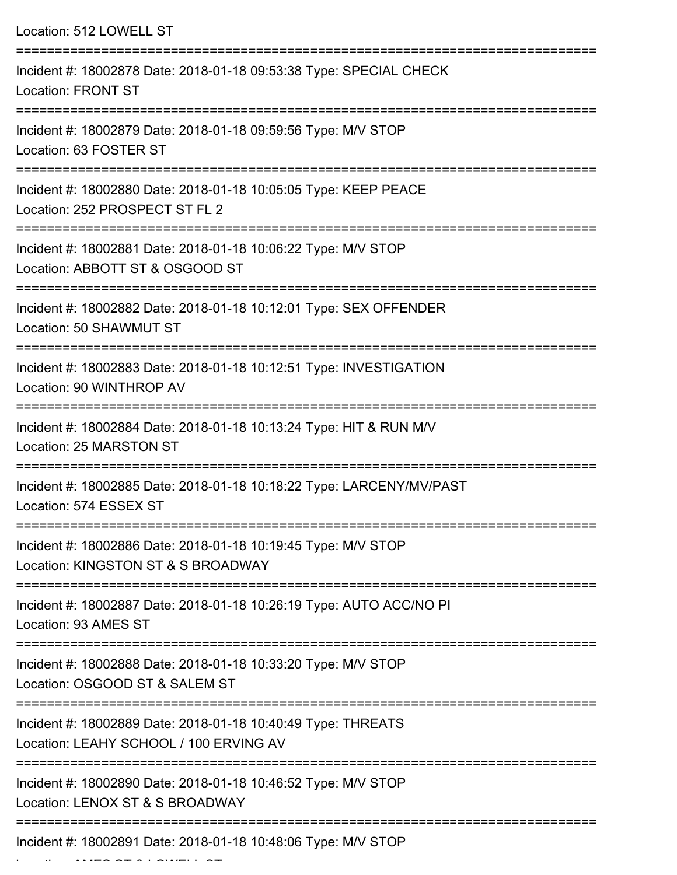| Location: 512 LOWELL ST                                                                                                                                           |
|-------------------------------------------------------------------------------------------------------------------------------------------------------------------|
| Incident #: 18002878 Date: 2018-01-18 09:53:38 Type: SPECIAL CHECK<br>Location: FRONT ST                                                                          |
| Incident #: 18002879 Date: 2018-01-18 09:59:56 Type: M/V STOP<br>Location: 63 FOSTER ST                                                                           |
| Incident #: 18002880 Date: 2018-01-18 10:05:05 Type: KEEP PEACE<br>Location: 252 PROSPECT ST FL 2                                                                 |
| Incident #: 18002881 Date: 2018-01-18 10:06:22 Type: M/V STOP<br>Location: ABBOTT ST & OSGOOD ST                                                                  |
| Incident #: 18002882 Date: 2018-01-18 10:12:01 Type: SEX OFFENDER<br>Location: 50 SHAWMUT ST                                                                      |
| Incident #: 18002883 Date: 2018-01-18 10:12:51 Type: INVESTIGATION<br>Location: 90 WINTHROP AV                                                                    |
| Incident #: 18002884 Date: 2018-01-18 10:13:24 Type: HIT & RUN M/V<br>Location: 25 MARSTON ST                                                                     |
| Incident #: 18002885 Date: 2018-01-18 10:18:22 Type: LARCENY/MV/PAST<br>Location: 574 ESSEX ST                                                                    |
| ===================================<br>===================<br>Incident #: 18002886 Date: 2018-01-18 10:19:45 Type: M/V STOP<br>Location: KINGSTON ST & S BROADWAY |
| Incident #: 18002887 Date: 2018-01-18 10:26:19 Type: AUTO ACC/NO PI<br>Location: 93 AMES ST                                                                       |
| Incident #: 18002888 Date: 2018-01-18 10:33:20 Type: M/V STOP<br>Location: OSGOOD ST & SALEM ST                                                                   |
| Incident #: 18002889 Date: 2018-01-18 10:40:49 Type: THREATS<br>Location: LEAHY SCHOOL / 100 ERVING AV                                                            |
| Incident #: 18002890 Date: 2018-01-18 10:46:52 Type: M/V STOP<br>Location: LENOX ST & S BROADWAY                                                                  |
| Incident #: 18002891 Date: 2018-01-18 10:48:06 Type: M/V STOP                                                                                                     |

Location: AMES ST & LOWELL ST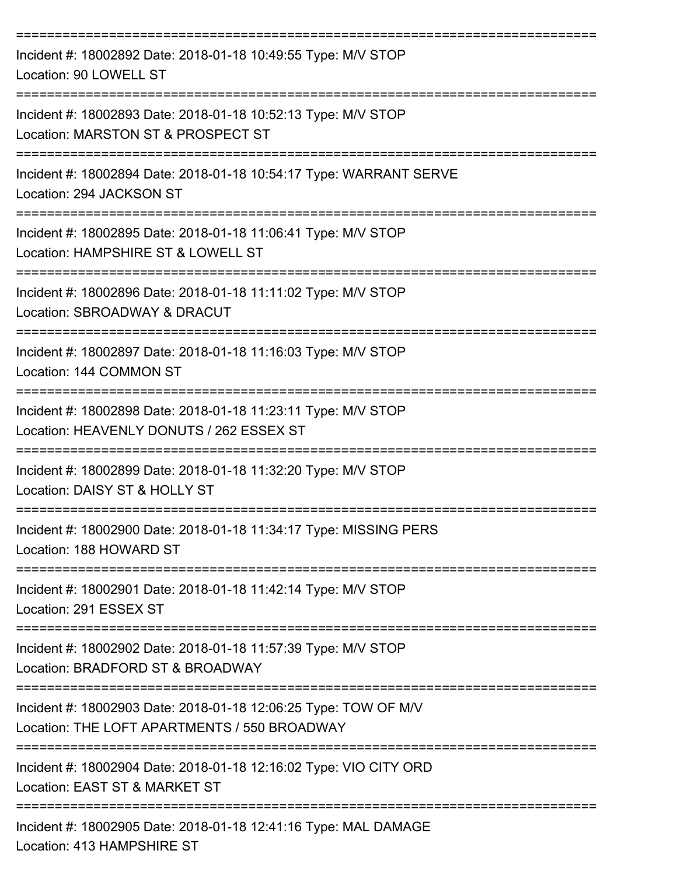| Incident #: 18002892 Date: 2018-01-18 10:49:55 Type: M/V STOP<br>Location: 90 LOWELL ST                         |
|-----------------------------------------------------------------------------------------------------------------|
| Incident #: 18002893 Date: 2018-01-18 10:52:13 Type: M/V STOP<br>Location: MARSTON ST & PROSPECT ST             |
| Incident #: 18002894 Date: 2018-01-18 10:54:17 Type: WARRANT SERVE<br>Location: 294 JACKSON ST                  |
| Incident #: 18002895 Date: 2018-01-18 11:06:41 Type: M/V STOP<br>Location: HAMPSHIRE ST & LOWELL ST             |
| Incident #: 18002896 Date: 2018-01-18 11:11:02 Type: M/V STOP<br>Location: SBROADWAY & DRACUT                   |
| Incident #: 18002897 Date: 2018-01-18 11:16:03 Type: M/V STOP<br>Location: 144 COMMON ST                        |
| Incident #: 18002898 Date: 2018-01-18 11:23:11 Type: M/V STOP<br>Location: HEAVENLY DONUTS / 262 ESSEX ST       |
| Incident #: 18002899 Date: 2018-01-18 11:32:20 Type: M/V STOP<br>Location: DAISY ST & HOLLY ST                  |
| Incident #: 18002900 Date: 2018-01-18 11:34:17 Type: MISSING PERS<br>Location: 188 HOWARD ST                    |
| Incident #: 18002901 Date: 2018-01-18 11:42:14 Type: M/V STOP<br>Location: 291 ESSEX ST                         |
| Incident #: 18002902 Date: 2018-01-18 11:57:39 Type: M/V STOP<br>Location: BRADFORD ST & BROADWAY               |
| Incident #: 18002903 Date: 2018-01-18 12:06:25 Type: TOW OF M/V<br>Location: THE LOFT APARTMENTS / 550 BROADWAY |
| Incident #: 18002904 Date: 2018-01-18 12:16:02 Type: VIO CITY ORD<br>Location: EAST ST & MARKET ST              |
| Incident #: 18002905 Date: 2018-01-18 12:41:16 Type: MAL DAMAGE                                                 |

Location: 413 HAMPSHIRE ST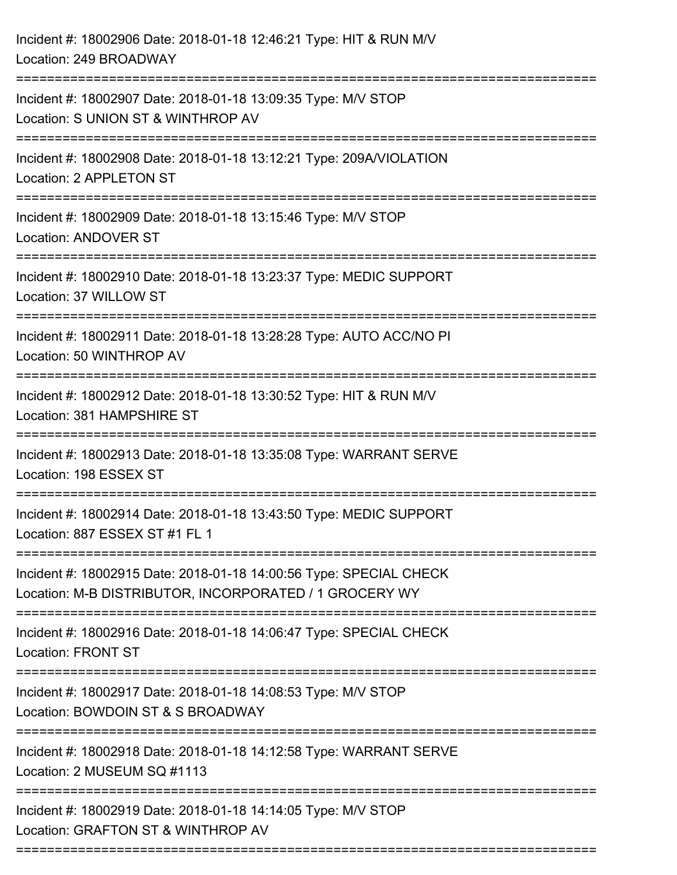| Incident #: 18002906 Date: 2018-01-18 12:46:21 Type: HIT & RUN M/V<br>Location: 249 BROADWAY                                 |
|------------------------------------------------------------------------------------------------------------------------------|
| Incident #: 18002907 Date: 2018-01-18 13:09:35 Type: M/V STOP<br>Location: S UNION ST & WINTHROP AV                          |
| Incident #: 18002908 Date: 2018-01-18 13:12:21 Type: 209A/VIOLATION<br>Location: 2 APPLETON ST                               |
| Incident #: 18002909 Date: 2018-01-18 13:15:46 Type: M/V STOP<br>Location: ANDOVER ST                                        |
| Incident #: 18002910 Date: 2018-01-18 13:23:37 Type: MEDIC SUPPORT<br>Location: 37 WILLOW ST                                 |
| Incident #: 18002911 Date: 2018-01-18 13:28:28 Type: AUTO ACC/NO PI<br>Location: 50 WINTHROP AV                              |
| Incident #: 18002912 Date: 2018-01-18 13:30:52 Type: HIT & RUN M/V<br>Location: 381 HAMPSHIRE ST<br>:===================     |
| Incident #: 18002913 Date: 2018-01-18 13:35:08 Type: WARRANT SERVE<br>Location: 198 ESSEX ST                                 |
| Incident #: 18002914 Date: 2018-01-18 13:43:50 Type: MEDIC SUPPORT<br>Location: 887 ESSEX ST #1 FL 1                         |
| Incident #: 18002915 Date: 2018-01-18 14:00:56 Type: SPECIAL CHECK<br>Location: M-B DISTRIBUTOR, INCORPORATED / 1 GROCERY WY |
| Incident #: 18002916 Date: 2018-01-18 14:06:47 Type: SPECIAL CHECK<br><b>Location: FRONT ST</b>                              |
| Incident #: 18002917 Date: 2018-01-18 14:08:53 Type: M/V STOP<br>Location: BOWDOIN ST & S BROADWAY                           |
| Incident #: 18002918 Date: 2018-01-18 14:12:58 Type: WARRANT SERVE<br>Location: 2 MUSEUM SQ #1113                            |
| Incident #: 18002919 Date: 2018-01-18 14:14:05 Type: M/V STOP<br>Location: GRAFTON ST & WINTHROP AV                          |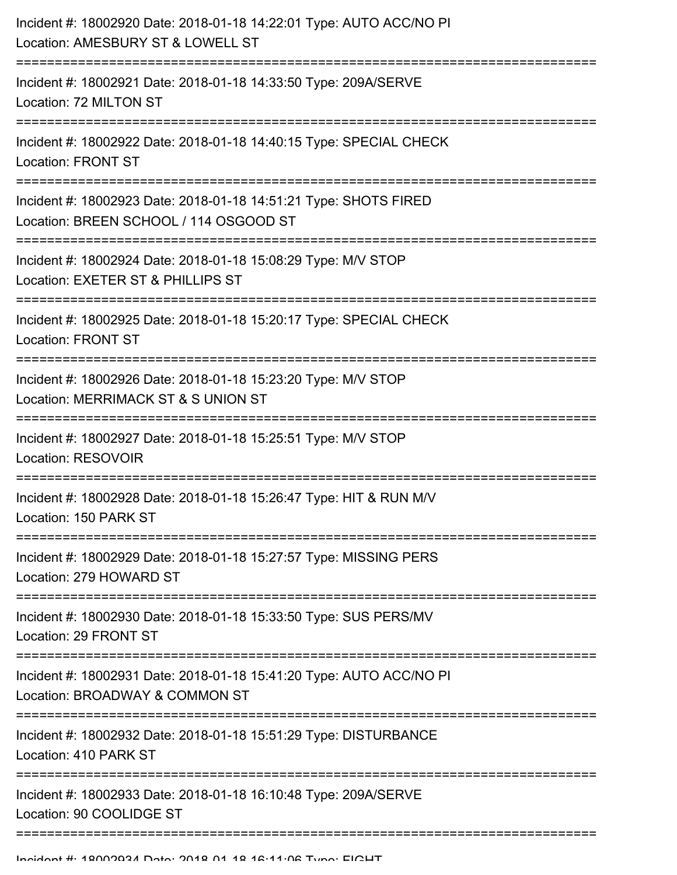| Incident #: 18002920 Date: 2018-01-18 14:22:01 Type: AUTO ACC/NO PI<br>Location: AMESBURY ST & LOWELL ST                       |
|--------------------------------------------------------------------------------------------------------------------------------|
| Incident #: 18002921 Date: 2018-01-18 14:33:50 Type: 209A/SERVE<br>Location: 72 MILTON ST                                      |
| Incident #: 18002922 Date: 2018-01-18 14:40:15 Type: SPECIAL CHECK<br><b>Location: FRONT ST</b>                                |
| Incident #: 18002923 Date: 2018-01-18 14:51:21 Type: SHOTS FIRED<br>Location: BREEN SCHOOL / 114 OSGOOD ST                     |
| Incident #: 18002924 Date: 2018-01-18 15:08:29 Type: M/V STOP<br>Location: EXETER ST & PHILLIPS ST                             |
| Incident #: 18002925 Date: 2018-01-18 15:20:17 Type: SPECIAL CHECK<br><b>Location: FRONT ST</b>                                |
| Incident #: 18002926 Date: 2018-01-18 15:23:20 Type: M/V STOP<br>Location: MERRIMACK ST & S UNION ST<br>====================== |
| Incident #: 18002927 Date: 2018-01-18 15:25:51 Type: M/V STOP<br>Location: RESOVOIR                                            |
| Incident #: 18002928 Date: 2018-01-18 15:26:47 Type: HIT & RUN M/V<br>Location: 150 PARK ST                                    |
| Incident #: 18002929 Date: 2018-01-18 15:27:57 Type: MISSING PERS<br>Location: 279 HOWARD ST                                   |
| Incident #: 18002930 Date: 2018-01-18 15:33:50 Type: SUS PERS/MV<br>Location: 29 FRONT ST                                      |
| Incident #: 18002931 Date: 2018-01-18 15:41:20 Type: AUTO ACC/NO PI<br>Location: BROADWAY & COMMON ST                          |
| Incident #: 18002932 Date: 2018-01-18 15:51:29 Type: DISTURBANCE<br>Location: 410 PARK ST                                      |
| Incident #: 18002933 Date: 2018-01-18 16:10:48 Type: 209A/SERVE<br>Location: 90 COOLIDGE ST                                    |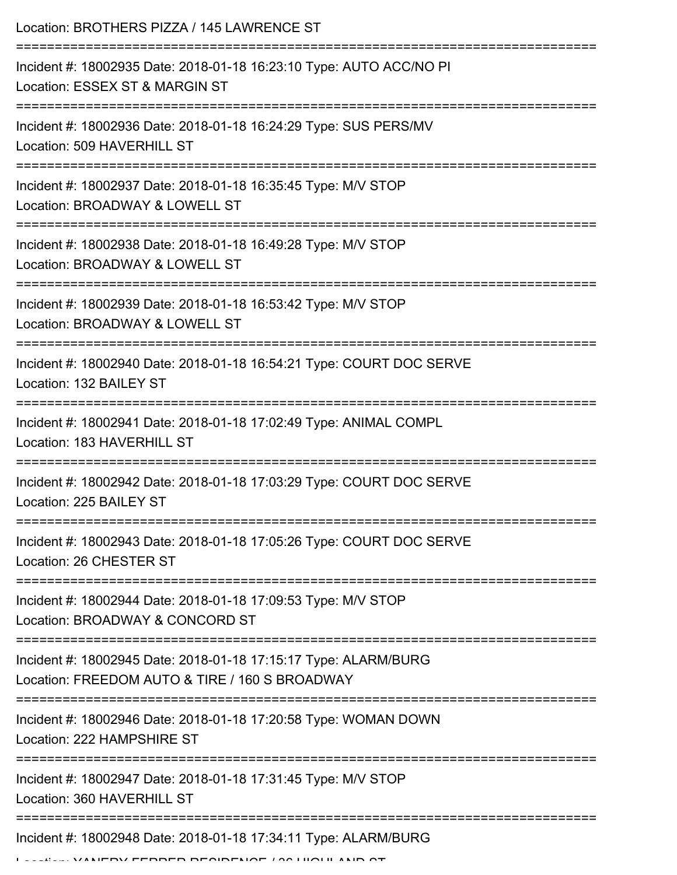| Location: BROTHERS PIZZA / 145 LAWRENCE ST                                                                        |
|-------------------------------------------------------------------------------------------------------------------|
| Incident #: 18002935 Date: 2018-01-18 16:23:10 Type: AUTO ACC/NO PI<br>Location: ESSEX ST & MARGIN ST             |
| Incident #: 18002936 Date: 2018-01-18 16:24:29 Type: SUS PERS/MV<br>Location: 509 HAVERHILL ST                    |
| Incident #: 18002937 Date: 2018-01-18 16:35:45 Type: M/V STOP<br>Location: BROADWAY & LOWELL ST                   |
| Incident #: 18002938 Date: 2018-01-18 16:49:28 Type: M/V STOP<br>Location: BROADWAY & LOWELL ST                   |
| Incident #: 18002939 Date: 2018-01-18 16:53:42 Type: M/V STOP<br>Location: BROADWAY & LOWELL ST                   |
| Incident #: 18002940 Date: 2018-01-18 16:54:21 Type: COURT DOC SERVE<br>Location: 132 BAILEY ST                   |
| Incident #: 18002941 Date: 2018-01-18 17:02:49 Type: ANIMAL COMPL<br>Location: 183 HAVERHILL ST                   |
| Incident #: 18002942 Date: 2018-01-18 17:03:29 Type: COURT DOC SERVE<br>Location: 225 BAILEY ST                   |
| Incident #: 18002943 Date: 2018-01-18 17:05:26 Type: COURT DOC SERVE<br>Location: 26 CHESTER ST                   |
| Incident #: 18002944 Date: 2018-01-18 17:09:53 Type: M/V STOP<br>Location: BROADWAY & CONCORD ST                  |
| Incident #: 18002945 Date: 2018-01-18 17:15:17 Type: ALARM/BURG<br>Location: FREEDOM AUTO & TIRE / 160 S BROADWAY |
| Incident #: 18002946 Date: 2018-01-18 17:20:58 Type: WOMAN DOWN<br>Location: 222 HAMPSHIRE ST                     |
| Incident #: 18002947 Date: 2018-01-18 17:31:45 Type: M/V STOP<br>Location: 360 HAVERHILL ST                       |
| Incident #: 18002948 Date: 2018-01-18 17:34:11 Type: ALARM/BURG                                                   |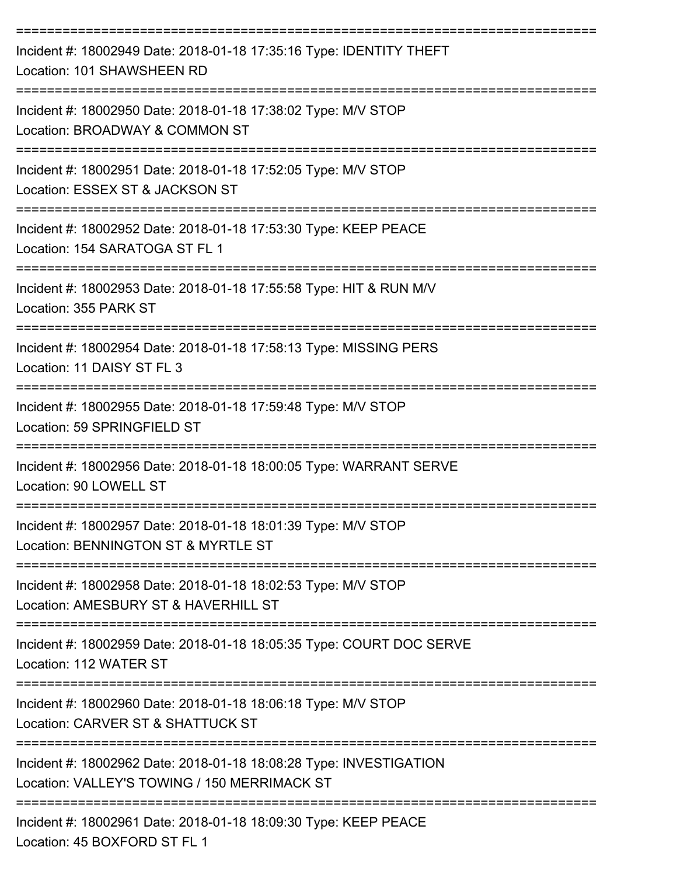| Incident #: 18002949 Date: 2018-01-18 17:35:16 Type: IDENTITY THEFT<br>Location: 101 SHAWSHEEN RD                                       |
|-----------------------------------------------------------------------------------------------------------------------------------------|
| Incident #: 18002950 Date: 2018-01-18 17:38:02 Type: M/V STOP<br>Location: BROADWAY & COMMON ST                                         |
| Incident #: 18002951 Date: 2018-01-18 17:52:05 Type: M/V STOP<br>Location: ESSEX ST & JACKSON ST                                        |
| Incident #: 18002952 Date: 2018-01-18 17:53:30 Type: KEEP PEACE<br>Location: 154 SARATOGA ST FL 1                                       |
| Incident #: 18002953 Date: 2018-01-18 17:55:58 Type: HIT & RUN M/V<br>Location: 355 PARK ST                                             |
| Incident #: 18002954 Date: 2018-01-18 17:58:13 Type: MISSING PERS<br>Location: 11 DAISY ST FL 3                                         |
| Incident #: 18002955 Date: 2018-01-18 17:59:48 Type: M/V STOP<br>Location: 59 SPRINGFIELD ST                                            |
| Incident #: 18002956 Date: 2018-01-18 18:00:05 Type: WARRANT SERVE<br>Location: 90 LOWELL ST                                            |
| Incident #: 18002957 Date: 2018-01-18 18:01:39 Type: M/V STOP<br>Location: BENNINGTON ST & MYRTLE ST                                    |
| Incident #: 18002958 Date: 2018-01-18 18:02:53 Type: M/V STOP<br>Location: AMESBURY ST & HAVERHILL ST                                   |
| Incident #: 18002959 Date: 2018-01-18 18:05:35 Type: COURT DOC SERVE<br>Location: 112 WATER ST                                          |
| Incident #: 18002960 Date: 2018-01-18 18:06:18 Type: M/V STOP<br>Location: CARVER ST & SHATTUCK ST                                      |
| Incident #: 18002962 Date: 2018-01-18 18:08:28 Type: INVESTIGATION<br>Location: VALLEY'S TOWING / 150 MERRIMACK ST                      |
| ------------------------------------<br>Incident #: 18002961 Date: 2018-01-18 18:09:30 Type: KEEP PEACE<br>Location: 45 BOXFORD ST FL 1 |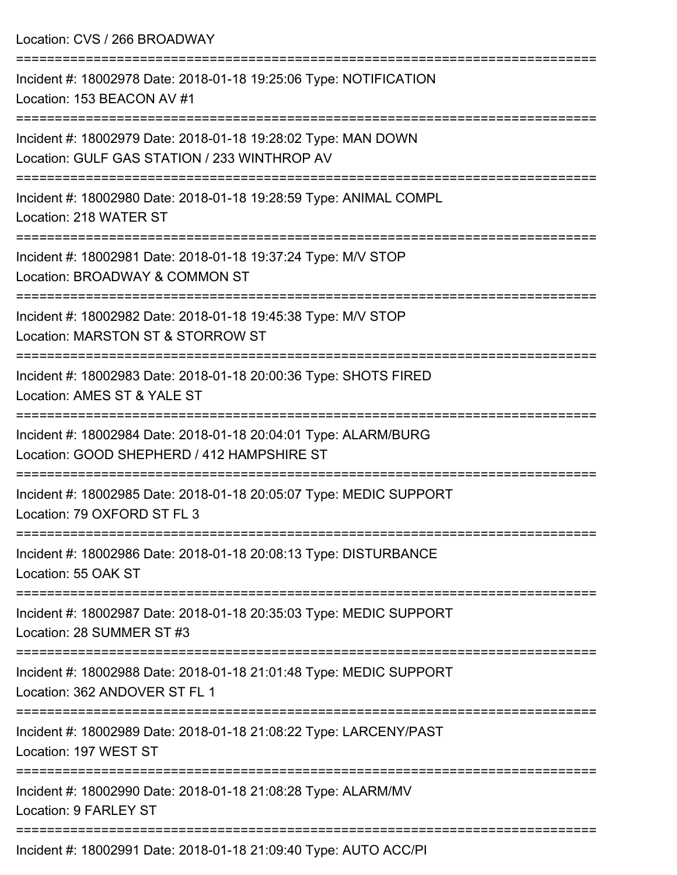| Location: CVS / 266 BROADWAY                                                                                                               |
|--------------------------------------------------------------------------------------------------------------------------------------------|
| Incident #: 18002978 Date: 2018-01-18 19:25:06 Type: NOTIFICATION<br>Location: 153 BEACON AV #1                                            |
| Incident #: 18002979 Date: 2018-01-18 19:28:02 Type: MAN DOWN<br>Location: GULF GAS STATION / 233 WINTHROP AV<br>:======================== |
| Incident #: 18002980 Date: 2018-01-18 19:28:59 Type: ANIMAL COMPL<br>Location: 218 WATER ST                                                |
| Incident #: 18002981 Date: 2018-01-18 19:37:24 Type: M/V STOP<br>Location: BROADWAY & COMMON ST                                            |
| Incident #: 18002982 Date: 2018-01-18 19:45:38 Type: M/V STOP<br>Location: MARSTON ST & STORROW ST                                         |
| Incident #: 18002983 Date: 2018-01-18 20:00:36 Type: SHOTS FIRED<br>Location: AMES ST & YALE ST                                            |
| Incident #: 18002984 Date: 2018-01-18 20:04:01 Type: ALARM/BURG<br>Location: GOOD SHEPHERD / 412 HAMPSHIRE ST                              |
| Incident #: 18002985 Date: 2018-01-18 20:05:07 Type: MEDIC SUPPORT<br>Location: 79 OXFORD ST FL 3                                          |
| Incident #: 18002986 Date: 2018-01-18 20:08:13 Type: DISTURBANCE<br>Location: 55 OAK ST                                                    |
| Incident #: 18002987 Date: 2018-01-18 20:35:03 Type: MEDIC SUPPORT<br>Location: 28 SUMMER ST #3                                            |
| Incident #: 18002988 Date: 2018-01-18 21:01:48 Type: MEDIC SUPPORT<br>Location: 362 ANDOVER ST FL 1                                        |
| Incident #: 18002989 Date: 2018-01-18 21:08:22 Type: LARCENY/PAST<br>Location: 197 WEST ST                                                 |
| Incident #: 18002990 Date: 2018-01-18 21:08:28 Type: ALARM/MV<br>Location: 9 FARLEY ST                                                     |
|                                                                                                                                            |

Incident #: 18002991 Date: 2018-01-18 21:09:40 Type: AUTO ACC/PI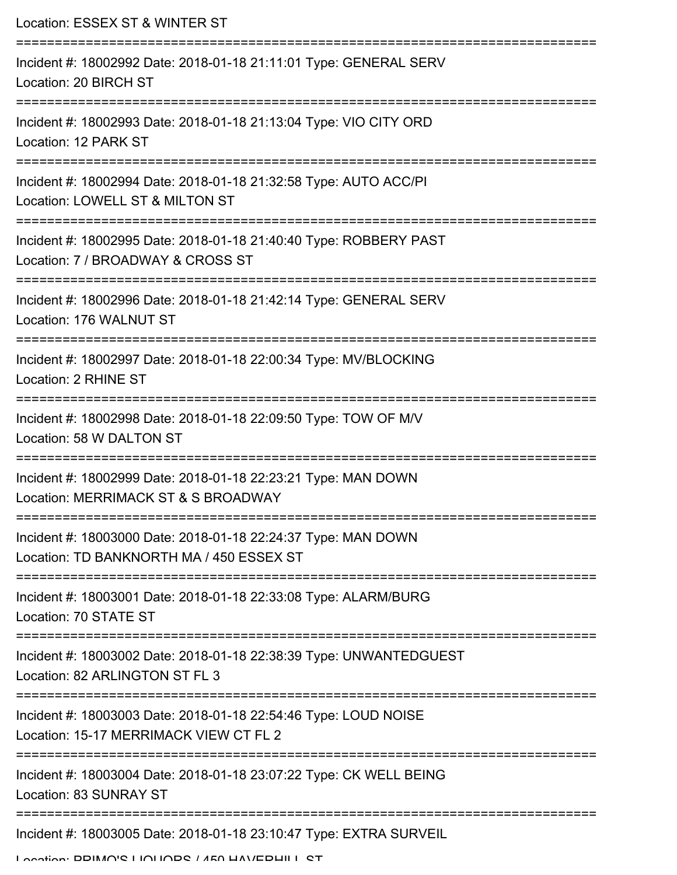| Location: ESSEX ST & WINTER ST                                                                            |
|-----------------------------------------------------------------------------------------------------------|
| Incident #: 18002992 Date: 2018-01-18 21:11:01 Type: GENERAL SERV<br>Location: 20 BIRCH ST                |
| Incident #: 18002993 Date: 2018-01-18 21:13:04 Type: VIO CITY ORD<br>Location: 12 PARK ST                 |
| Incident #: 18002994 Date: 2018-01-18 21:32:58 Type: AUTO ACC/PI<br>Location: LOWELL ST & MILTON ST       |
| Incident #: 18002995 Date: 2018-01-18 21:40:40 Type: ROBBERY PAST<br>Location: 7 / BROADWAY & CROSS ST    |
| Incident #: 18002996 Date: 2018-01-18 21:42:14 Type: GENERAL SERV<br>Location: 176 WALNUT ST              |
| Incident #: 18002997 Date: 2018-01-18 22:00:34 Type: MV/BLOCKING<br>Location: 2 RHINE ST                  |
| Incident #: 18002998 Date: 2018-01-18 22:09:50 Type: TOW OF M/V<br>Location: 58 W DALTON ST               |
| Incident #: 18002999 Date: 2018-01-18 22:23:21 Type: MAN DOWN<br>Location: MERRIMACK ST & S BROADWAY      |
| Incident #: 18003000 Date: 2018-01-18 22:24:37 Type: MAN DOWN<br>Location: TD BANKNORTH MA / 450 ESSEX ST |
| Incident #: 18003001 Date: 2018-01-18 22:33:08 Type: ALARM/BURG<br>Location: 70 STATE ST                  |
| Incident #: 18003002 Date: 2018-01-18 22:38:39 Type: UNWANTEDGUEST<br>Location: 82 ARLINGTON ST FL 3      |
| Incident #: 18003003 Date: 2018-01-18 22:54:46 Type: LOUD NOISE<br>Location: 15-17 MERRIMACK VIEW CT FL 2 |
| Incident #: 18003004 Date: 2018-01-18 23:07:22 Type: CK WELL BEING<br>Location: 83 SUNRAY ST              |
| Incident #: 18003005 Date: 2018-01-18 23:10:47 Type: EXTRA SURVEIL                                        |

Location: PRIMO'S LIQUORS / 450 HAVERHILL ST